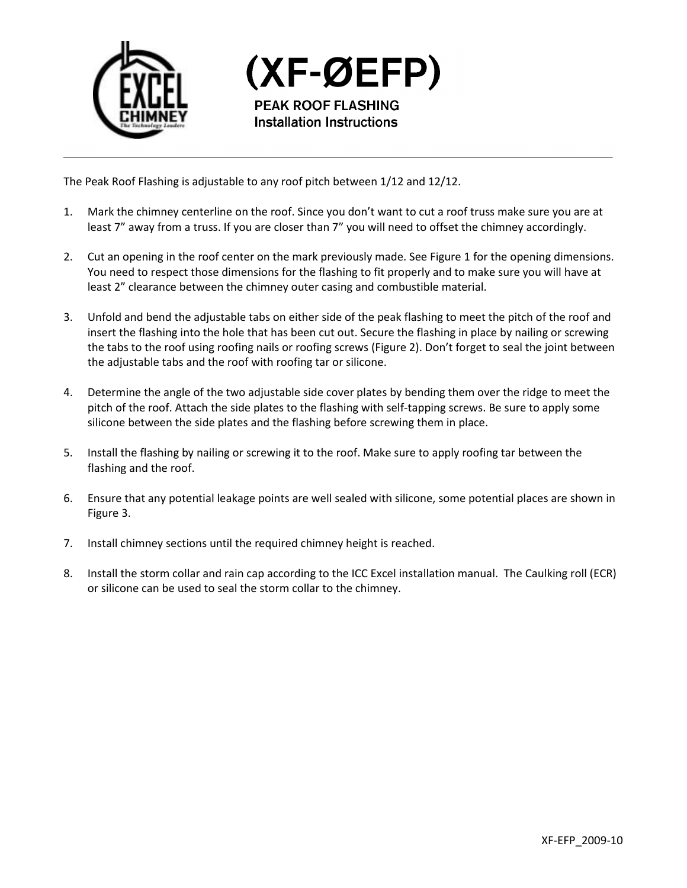

(XF-ØEFP) **PEAK ROOF FLASHING Installation Instructions** 

The Peak Roof Flashing is adjustable to any roof pitch between 1/12 and 12/12.

- 1. Mark the chimney centerline on the roof. Since you don't want to cut a roof truss make sure you are at least 7" away from a truss. If you are closer than 7" you will need to offset the chimney accordingly.
- 2. Cut an opening in the roof center on the mark previously made. See Figure 1 for the opening dimensions. You need to respect those dimensions for the flashing to fit properly and to make sure you will have at least 2" clearance between the chimney outer casing and combustible material.
- 3. Unfold and bend the adjustable tabs on either side of the peak flashing to meet the pitch of the roof and insert the flashing into the hole that has been cut out. Secure the flashing in place by nailing or screwing the tabs to the roof using roofing nails or roofing screws (Figure 2). Don't forget to seal the joint between the adjustable tabs and the roof with roofing tar or silicone.
- 4. Determine the angle of the two adjustable side cover plates by bending them over the ridge to meet the pitch of the roof. Attach the side plates to the flashing with self-tapping screws. Be sure to apply some silicone between the side plates and the flashing before screwing them in place.
- 5. Install the flashing by nailing or screwing it to the roof. Make sure to apply roofing tar between the flashing and the roof.
- 6. Ensure that any potential leakage points are well sealed with silicone, some potential places are shown in Figure 3.
- 7. Install chimney sections until the required chimney height is reached.
- 8. Install the storm collar and rain cap according to the ICC Excel installation manual. The Caulking roll (ECR) or silicone can be used to seal the storm collar to the chimney.